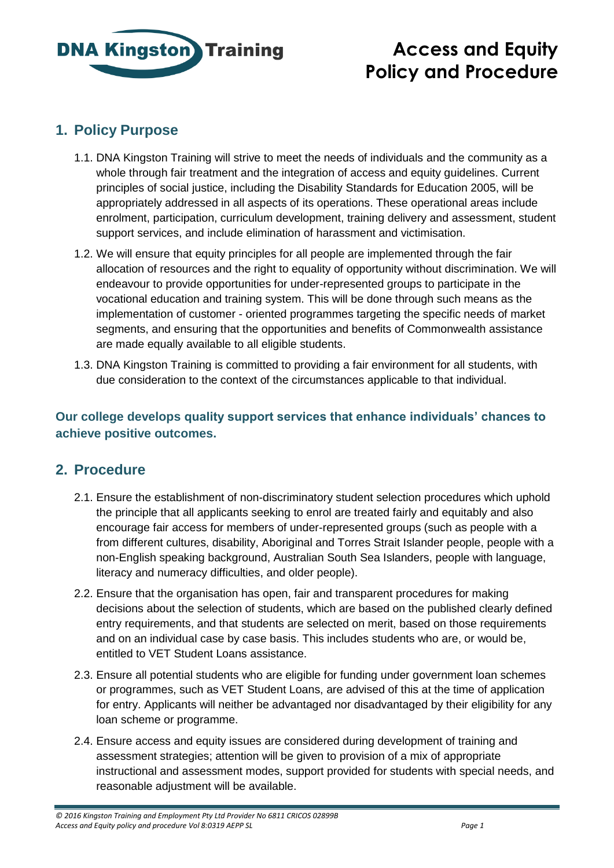

# **Access and Equity Policy and Procedure**

## **1. Policy Purpose**

- 1.1. DNA Kingston Training will strive to meet the needs of individuals and the community as a whole through fair treatment and the integration of access and equity guidelines. Current principles of social justice, including the Disability Standards for Education 2005, will be appropriately addressed in all aspects of its operations. These operational areas include enrolment, participation, curriculum development, training delivery and assessment, student support services, and include elimination of harassment and victimisation.
- 1.2. We will ensure that equity principles for all people are implemented through the fair allocation of resources and the right to equality of opportunity without discrimination. We will endeavour to provide opportunities for under-represented groups to participate in the vocational education and training system. This will be done through such means as the implementation of customer - oriented programmes targeting the specific needs of market segments, and ensuring that the opportunities and benefits of Commonwealth assistance are made equally available to all eligible students.
- 1.3. DNA Kingston Training is committed to providing a fair environment for all students, with due consideration to the context of the circumstances applicable to that individual.

**Our college develops quality support services that enhance individuals' chances to achieve positive outcomes.**

### **2. Procedure**

- 2.1. Ensure the establishment of non-discriminatory student selection procedures which uphold the principle that all applicants seeking to enrol are treated fairly and equitably and also encourage fair access for members of under-represented groups (such as people with a from different cultures, disability, Aboriginal and Torres Strait Islander people, people with a non-English speaking background, Australian South Sea Islanders, people with language, literacy and numeracy difficulties, and older people).
- 2.2. Ensure that the organisation has open, fair and transparent procedures for making decisions about the selection of students, which are based on the published clearly defined entry requirements, and that students are selected on merit, based on those requirements and on an individual case by case basis. This includes students who are, or would be, entitled to VET Student Loans assistance.
- 2.3. Ensure all potential students who are eligible for funding under government loan schemes or programmes, such as VET Student Loans, are advised of this at the time of application for entry. Applicants will neither be advantaged nor disadvantaged by their eligibility for any loan scheme or programme.
- 2.4. Ensure access and equity issues are considered during development of training and assessment strategies; attention will be given to provision of a mix of appropriate instructional and assessment modes, support provided for students with special needs, and reasonable adjustment will be available.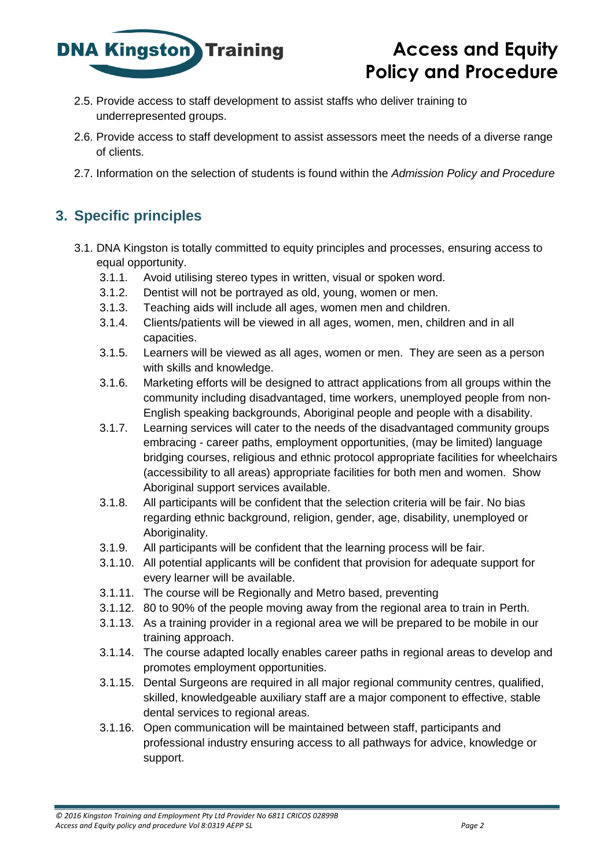

## **Access and Equity Policy and Procedure**

- 2.5. Provide access to staff development to assist staffs who deliver training to underrepresented groups.
- 2.6. Provide access to staff development to assist assessors meet the needs of a diverse range of clients.
- 2.7. Information on the selection of students is found within the *Admission Policy and Procedure*

## **3. Specific principles**

- 3.1. DNA Kingston is totally committed to equity principles and processes, ensuring access to equal opportunity.
	- 3.1.1. Avoid utilising stereo types in written, visual or spoken word.
	- 3.1.2. Dentist will not be portrayed as old, young, women or men.
	- 3.1.3. Teaching aids will include all ages, women men and children.
	- 3.1.4. Clients/patients will be viewed in all ages, women, men, children and in all capacities.
	- 3.1.5. Learners will be viewed as all ages, women or men. They are seen as a person with skills and knowledge.
	- 3.1.6. Marketing efforts will be designed to attract applications from all groups within the community including disadvantaged, time workers, unemployed people from non-English speaking backgrounds, Aboriginal people and people with a disability.
	- 3.1.7. Learning services will cater to the needs of the disadvantaged community groups embracing - career paths, employment opportunities, (may be limited) language bridging courses, religious and ethnic protocol appropriate facilities for wheelchairs (accessibility to all areas) appropriate facilities for both men and women. Show Aboriginal support services available.
	- 3.1.8. All participants will be confident that the selection criteria will be fair. No bias regarding ethnic background, religion, gender, age, disability, unemployed or Aboriginality.
	- 3.1.9. All participants will be confident that the learning process will be fair.
	- 3.1.10. All potential applicants will be confident that provision for adequate support for every learner will be available.
	- 3.1.11. The course will be Regionally and Metro based, preventing
	- 3.1.12. 80 to 90% of the people moving away from the regional area to train in Perth.
	- 3.1.13. As a training provider in a regional area we will be prepared to be mobile in our training approach.
	- 3.1.14. The course adapted locally enables career paths in regional areas to develop and promotes employment opportunities.
	- 3.1.15. Dental Surgeons are required in all major regional community centres, qualified, skilled, knowledgeable auxiliary staff are a major component to effective, stable dental services to regional areas.
	- 3.1.16. Open communication will be maintained between staff, participants and professional industry ensuring access to all pathways for advice, knowledge or support.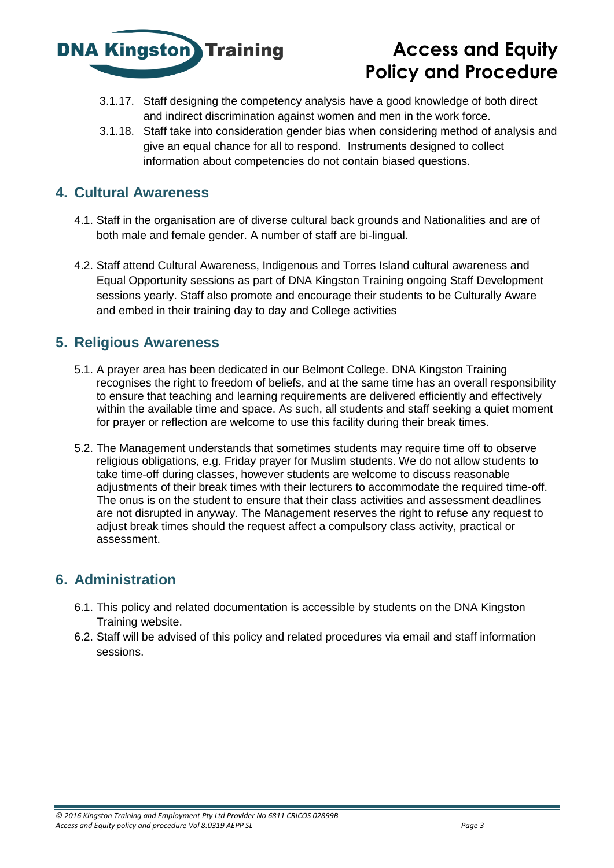

## **Access and Equity Policy and Procedure**

- 3.1.17. Staff designing the competency analysis have a good knowledge of both direct and indirect discrimination against women and men in the work force.
- 3.1.18. Staff take into consideration gender bias when considering method of analysis and give an equal chance for all to respond. Instruments designed to collect information about competencies do not contain biased questions.

### **4. Cultural Awareness**

- 4.1. Staff in the organisation are of diverse cultural back grounds and Nationalities and are of both male and female gender. A number of staff are bi-lingual.
- 4.2. Staff attend Cultural Awareness, Indigenous and Torres Island cultural awareness and Equal Opportunity sessions as part of DNA Kingston Training ongoing Staff Development sessions yearly. Staff also promote and encourage their students to be Culturally Aware and embed in their training day to day and College activities

### **5. Religious Awareness**

- 5.1. A prayer area has been dedicated in our Belmont College. DNA Kingston Training recognises the right to freedom of beliefs, and at the same time has an overall responsibility to ensure that teaching and learning requirements are delivered efficiently and effectively within the available time and space. As such, all students and staff seeking a quiet moment for prayer or reflection are welcome to use this facility during their break times.
- 5.2. The Management understands that sometimes students may require time off to observe religious obligations, e.g. Friday prayer for Muslim students. We do not allow students to take time-off during classes, however students are welcome to discuss reasonable adjustments of their break times with their lecturers to accommodate the required time-off. The onus is on the student to ensure that their class activities and assessment deadlines are not disrupted in anyway. The Management reserves the right to refuse any request to adjust break times should the request affect a compulsory class activity, practical or assessment.

### **6. Administration**

- 6.1. This policy and related documentation is accessible by students on the DNA Kingston Training website.
- 6.2. Staff will be advised of this policy and related procedures via email and staff information sessions.